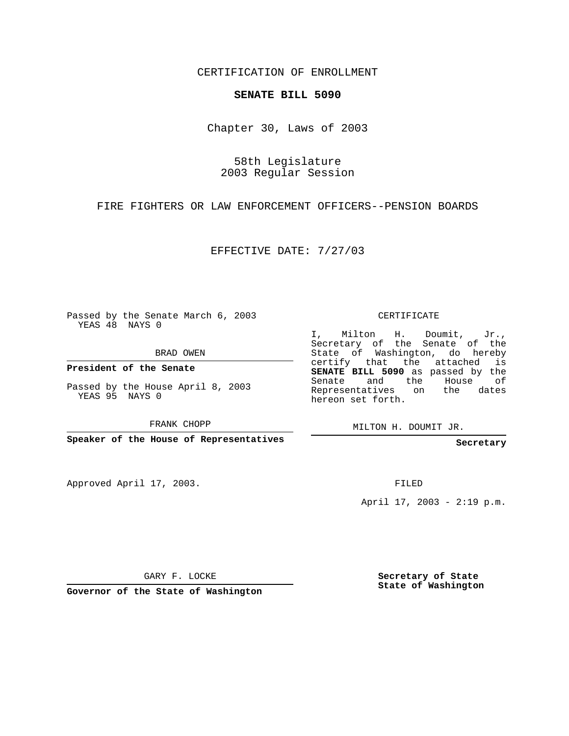CERTIFICATION OF ENROLLMENT

## **SENATE BILL 5090**

Chapter 30, Laws of 2003

58th Legislature 2003 Regular Session

FIRE FIGHTERS OR LAW ENFORCEMENT OFFICERS--PENSION BOARDS

EFFECTIVE DATE: 7/27/03

Passed by the Senate March 6, 2003 YEAS 48 NAYS 0

BRAD OWEN

**President of the Senate**

Passed by the House April 8, 2003 YEAS 95 NAYS 0

FRANK CHOPP

**Speaker of the House of Representatives**

Approved April 17, 2003.

CERTIFICATE

I, Milton H. Doumit, Jr., Secretary of the Senate of the State of Washington, do hereby certify that the attached is **SENATE BILL 5090** as passed by the Senate and the House of Representatives on the dates hereon set forth.

MILTON H. DOUMIT JR.

**Secretary**

FILED

April 17, 2003 - 2:19 p.m.

GARY F. LOCKE

**Governor of the State of Washington**

**Secretary of State State of Washington**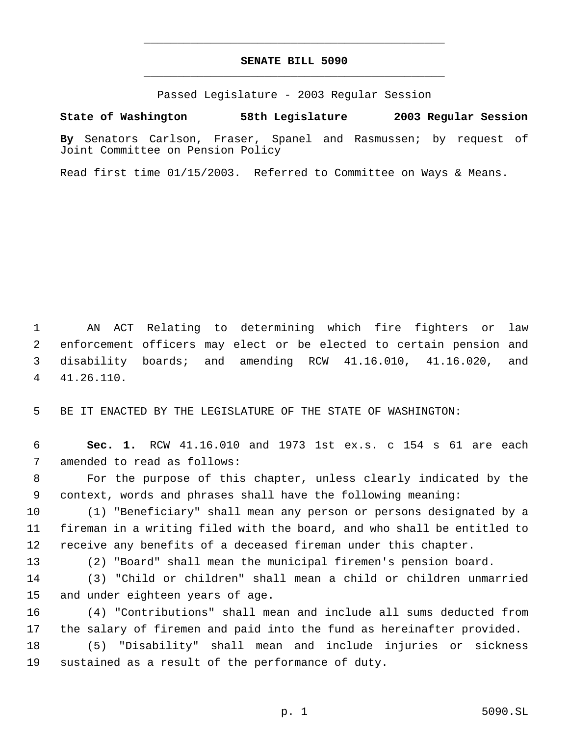## **SENATE BILL 5090** \_\_\_\_\_\_\_\_\_\_\_\_\_\_\_\_\_\_\_\_\_\_\_\_\_\_\_\_\_\_\_\_\_\_\_\_\_\_\_\_\_\_\_\_\_

\_\_\_\_\_\_\_\_\_\_\_\_\_\_\_\_\_\_\_\_\_\_\_\_\_\_\_\_\_\_\_\_\_\_\_\_\_\_\_\_\_\_\_\_\_

Passed Legislature - 2003 Regular Session

**State of Washington 58th Legislature 2003 Regular Session**

**By** Senators Carlson, Fraser, Spanel and Rasmussen; by request of Joint Committee on Pension Policy

Read first time 01/15/2003. Referred to Committee on Ways & Means.

 AN ACT Relating to determining which fire fighters or law enforcement officers may elect or be elected to certain pension and disability boards; and amending RCW 41.16.010, 41.16.020, and 41.26.110.

BE IT ENACTED BY THE LEGISLATURE OF THE STATE OF WASHINGTON:

 **Sec. 1.** RCW 41.16.010 and 1973 1st ex.s. c 154 s 61 are each amended to read as follows:

 For the purpose of this chapter, unless clearly indicated by the context, words and phrases shall have the following meaning:

 (1) "Beneficiary" shall mean any person or persons designated by a fireman in a writing filed with the board, and who shall be entitled to receive any benefits of a deceased fireman under this chapter.

(2) "Board" shall mean the municipal firemen's pension board.

 (3) "Child or children" shall mean a child or children unmarried and under eighteen years of age.

 (4) "Contributions" shall mean and include all sums deducted from the salary of firemen and paid into the fund as hereinafter provided.

 (5) "Disability" shall mean and include injuries or sickness sustained as a result of the performance of duty.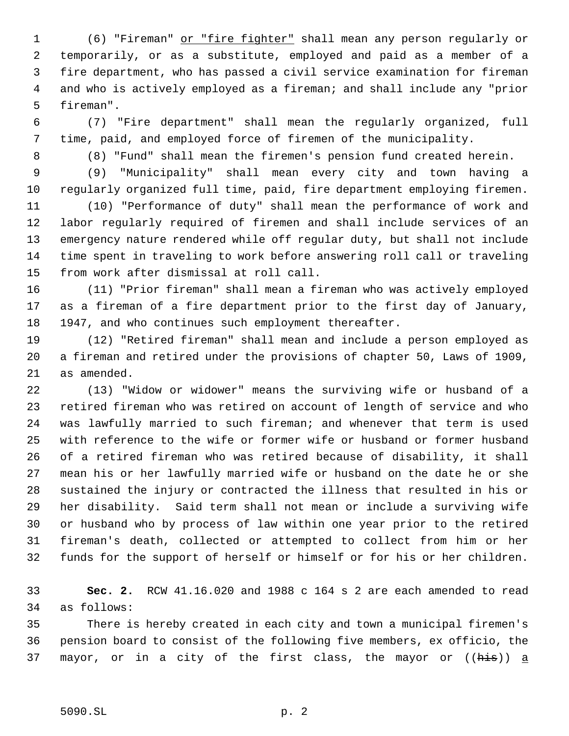(6) "Fireman" or "fire fighter" shall mean any person regularly or temporarily, or as a substitute, employed and paid as a member of a fire department, who has passed a civil service examination for fireman and who is actively employed as a fireman; and shall include any "prior fireman".

 (7) "Fire department" shall mean the regularly organized, full time, paid, and employed force of firemen of the municipality.

(8) "Fund" shall mean the firemen's pension fund created herein.

 (9) "Municipality" shall mean every city and town having a regularly organized full time, paid, fire department employing firemen.

 (10) "Performance of duty" shall mean the performance of work and labor regularly required of firemen and shall include services of an emergency nature rendered while off regular duty, but shall not include time spent in traveling to work before answering roll call or traveling from work after dismissal at roll call.

 (11) "Prior fireman" shall mean a fireman who was actively employed as a fireman of a fire department prior to the first day of January, 1947, and who continues such employment thereafter.

 (12) "Retired fireman" shall mean and include a person employed as a fireman and retired under the provisions of chapter 50, Laws of 1909, as amended.

 (13) "Widow or widower" means the surviving wife or husband of a retired fireman who was retired on account of length of service and who was lawfully married to such fireman; and whenever that term is used with reference to the wife or former wife or husband or former husband of a retired fireman who was retired because of disability, it shall mean his or her lawfully married wife or husband on the date he or she sustained the injury or contracted the illness that resulted in his or her disability. Said term shall not mean or include a surviving wife or husband who by process of law within one year prior to the retired fireman's death, collected or attempted to collect from him or her funds for the support of herself or himself or for his or her children.

 **Sec. 2.** RCW 41.16.020 and 1988 c 164 s 2 are each amended to read as follows:

 There is hereby created in each city and town a municipal firemen's pension board to consist of the following five members, ex officio, the 37 mayor, or in a city of the first class, the mayor or  $((\frac{h}{h+1}s))$  a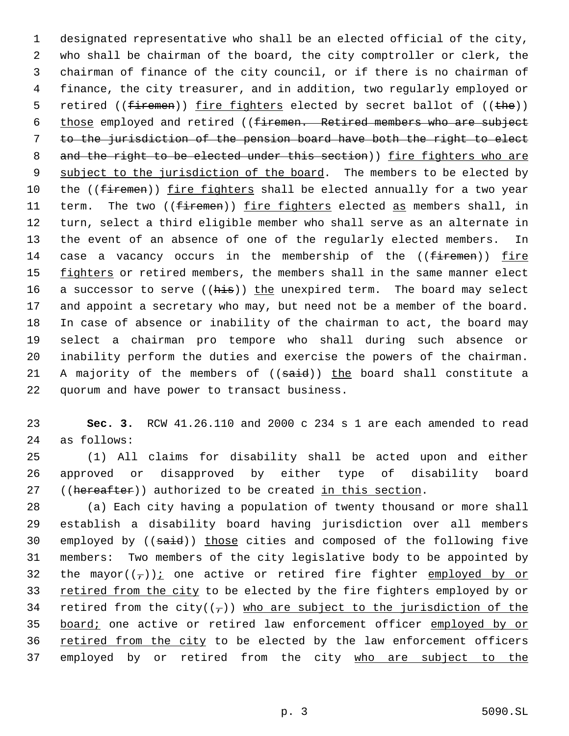1 designated representative who shall be an elected official of the city, 2 who shall be chairman of the board, the city comptroller or clerk, the 3 chairman of finance of the city council, or if there is no chairman of 4 finance, the city treasurer, and in addition, two regularly employed or 5 retired ((firemen)) fire fighters elected by secret ballot of ((the)) 6 those employed and retired ((firemen. Retired members who are subject 7 to the jurisdiction of the pension board have both the right to elect 8 and the right to be elected under this section)) fire fighters who are 9 subject to the jurisdiction of the board. The members to be elected by 10 the ((firemen)) fire fighters shall be elected annually for a two year 11 term. The two ((firemen)) fire fighters elected as members shall, in 12 turn, select a third eligible member who shall serve as an alternate in 13 the event of an absence of one of the regularly elected members. In 14 case a vacancy occurs in the membership of the  $(f\text{if}\text{remen}))$  fire 15 fighters or retired members, the members shall in the same manner elect 16 a successor to serve ((his)) the unexpired term. The board may select 17 and appoint a secretary who may, but need not be a member of the board. 18 In case of absence or inability of the chairman to act, the board may 19 select a chairman pro tempore who shall during such absence or 20 inability perform the duties and exercise the powers of the chairman. 21 A majority of the members of  $((said))$  the board shall constitute a 22 quorum and have power to transact business.

23 **Sec. 3.** RCW 41.26.110 and 2000 c 234 s 1 are each amended to read 24 as follows:

25 (1) All claims for disability shall be acted upon and either 26 approved or disapproved by either type of disability board 27 ((hereafter)) authorized to be created in this section.

28 (a) Each city having a population of twenty thousand or more shall 29 establish a disability board having jurisdiction over all members 30 employed by ((said)) those cities and composed of the following five 31 members: Two members of the city legislative body to be appointed by 32 the mayor( $(\tau)$ ): one active or retired fire fighter employed by or 33 retired from the city to be elected by the fire fighters employed by or 34 retired from the city( $(\tau)$ ) who are subject to the jurisdiction of the 35 board; one active or retired law enforcement officer employed by or 36 retired from the city to be elected by the law enforcement officers 37 employed by or retired from the city who are subject to the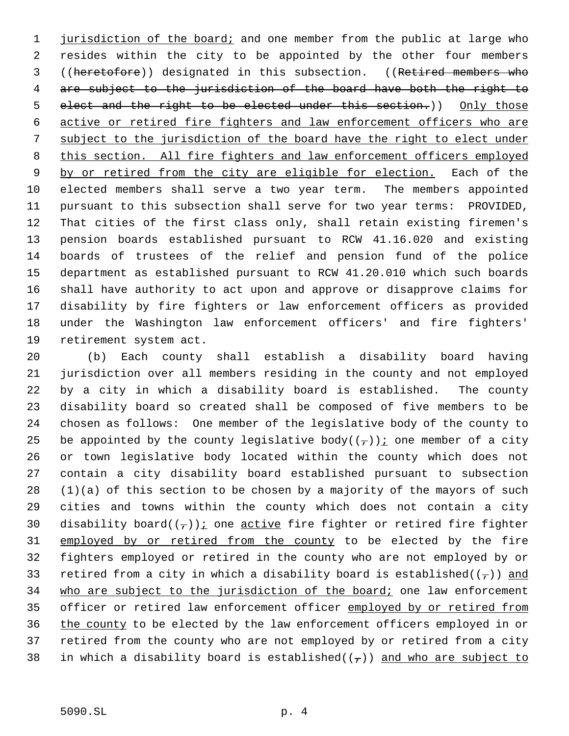1 jurisdiction of the board; and one member from the public at large who resides within the city to be appointed by the other four members ((heretofore)) designated in this subsection. ((Retired members who are subject to the jurisdiction of the board have both the right to 5 elect and the right to be elected under this section.)) Only those active or retired fire fighters and law enforcement officers who are subject to the jurisdiction of the board have the right to elect under this section. All fire fighters and law enforcement officers employed 9 by or retired from the city are eligible for election. Each of the elected members shall serve a two year term. The members appointed pursuant to this subsection shall serve for two year terms: PROVIDED, That cities of the first class only, shall retain existing firemen's pension boards established pursuant to RCW 41.16.020 and existing boards of trustees of the relief and pension fund of the police department as established pursuant to RCW 41.20.010 which such boards shall have authority to act upon and approve or disapprove claims for disability by fire fighters or law enforcement officers as provided under the Washington law enforcement officers' and fire fighters' retirement system act.

 (b) Each county shall establish a disability board having jurisdiction over all members residing in the county and not employed by a city in which a disability board is established. The county disability board so created shall be composed of five members to be chosen as follows: One member of the legislative body of the county to 25 be appointed by the county legislative body( $(\tau)$ ) *i* one member of a city or town legislative body located within the county which does not contain a city disability board established pursuant to subsection (1)(a) of this section to be chosen by a majority of the mayors of such cities and towns within the county which does not contain a city 30 disability board( $(\tau)$ ); one active fire fighter or retired fire fighter 31 employed by or retired from the county to be elected by the fire fighters employed or retired in the county who are not employed by or 33 retired from a city in which a disability board is established( $(\tau)$ ) and 34 who are subject to the jurisdiction of the board; one law enforcement 35 officer or retired law enforcement officer employed by or retired from the county to be elected by the law enforcement officers employed in or retired from the county who are not employed by or retired from a city 38 in which a disability board is established( $(\tau)$ ) and who are subject to